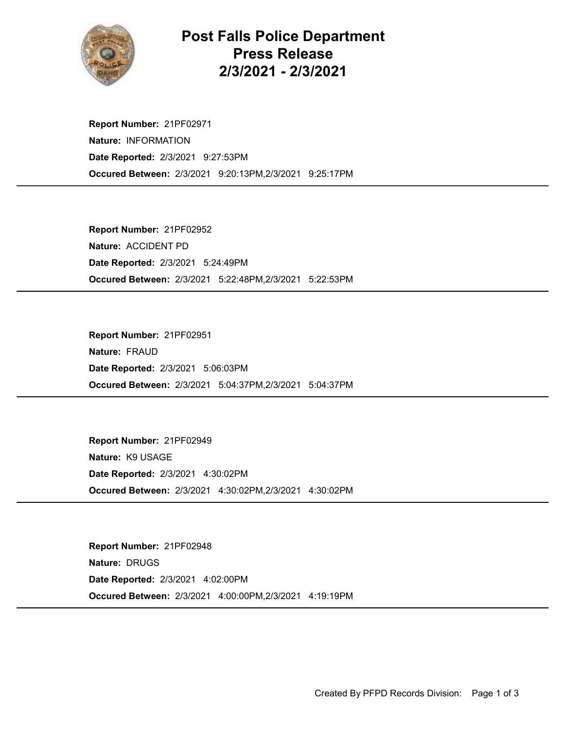

## Post Falls Police Department Press Release 2/3/2021 - 2/3/2021

Occured Between: 2/3/2021 9:20:13PM,2/3/2021 9:25:17PM Report Number: 21PF02971 Nature: INFORMATION Date Reported: 2/3/2021 9:27:53PM

Occured Between: 2/3/2021 5:22:48PM,2/3/2021 5:22:53PM Report Number: 21PF02952 Nature: ACCIDENT PD Date Reported: 2/3/2021 5:24:49PM

Occured Between: 2/3/2021 5:04:37PM,2/3/2021 5:04:37PM Report Number: 21PF02951 Nature: FRAUD Date Reported: 2/3/2021 5:06:03PM

Occured Between: 2/3/2021 4:30:02PM,2/3/2021 4:30:02PM Report Number: 21PF02949 Nature: K9 USAGE Date Reported: 2/3/2021 4:30:02PM

Occured Between: 2/3/2021 4:00:00PM,2/3/2021 4:19:19PM Report Number: 21PF02948 Nature: DRUGS Date Reported: 2/3/2021 4:02:00PM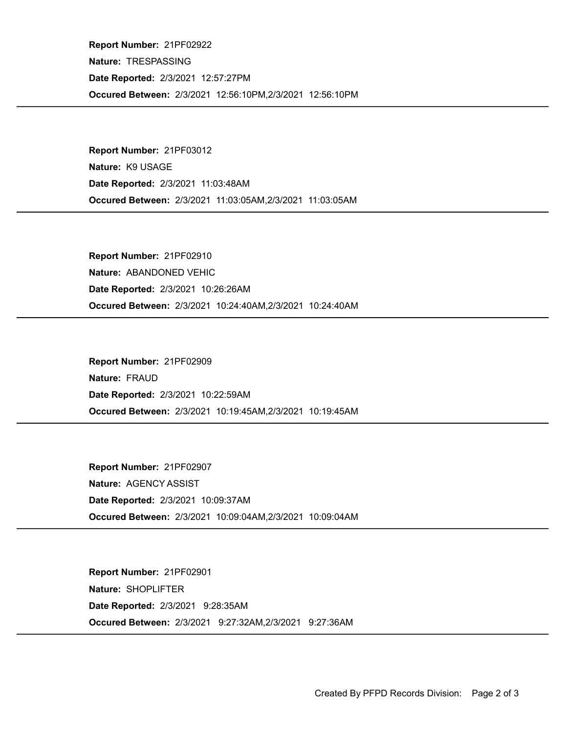Occured Between: 2/3/2021 12:56:10PM,2/3/2021 12:56:10PM Report Number: 21PF02922 Nature: TRESPASSING Date Reported: 2/3/2021 12:57:27PM

Occured Between: 2/3/2021 11:03:05AM,2/3/2021 11:03:05AM Report Number: 21PF03012 Nature: K9 USAGE Date Reported: 2/3/2021 11:03:48AM

Occured Between: 2/3/2021 10:24:40AM,2/3/2021 10:24:40AM Report Number: 21PF02910 Nature: ABANDONED VEHIC Date Reported: 2/3/2021 10:26:26AM

Occured Between: 2/3/2021 10:19:45AM,2/3/2021 10:19:45AM Report Number: 21PF02909 Nature: FRAUD Date Reported: 2/3/2021 10:22:59AM

Occured Between: 2/3/2021 10:09:04AM,2/3/2021 10:09:04AM Report Number: 21PF02907 Nature: AGENCY ASSIST Date Reported: 2/3/2021 10:09:37AM

Occured Between: 2/3/2021 9:27:32AM,2/3/2021 9:27:36AM Report Number: 21PF02901 Nature: SHOPLIFTER Date Reported: 2/3/2021 9:28:35AM